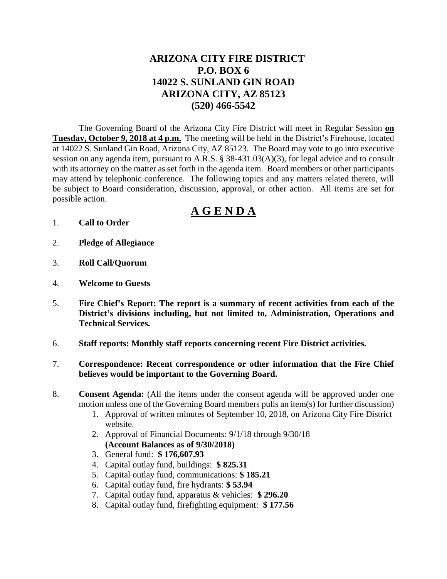## **ARIZONA CITY FIRE DISTRICT P.O. BOX 6 14022 S. SUNLAND GIN ROAD ARIZONA CITY, AZ 85123 (520) 466-5542**

The Governing Board of the Arizona City Fire District will meet in Regular Session **on Tuesday, October 9, 2018 at 4 p.m.** The meeting will be held in the District's Firehouse, located at 14022 S. Sunland Gin Road, Arizona City, AZ 85123. The Board may vote to go into executive session on any agenda item, pursuant to A.R.S. § 38-431.03(A)(3), for legal advice and to consult with its attorney on the matter as set forth in the agenda item. Board members or other participants may attend by telephonic conference. The following topics and any matters related thereto, will be subject to Board consideration, discussion, approval, or other action. All items are set for possible action.

# **A G E N D A**

- 1. **Call to Order**
- 2. **Pledge of Allegiance**
- 3. **Roll Call/Quorum**
- 4. **Welcome to Guests**
- 5. **Fire Chief's Report: The report is a summary of recent activities from each of the District's divisions including, but not limited to, Administration, Operations and Technical Services.**
- 6. **Staff reports: Monthly staff reports concerning recent Fire District activities.**
- 7. **Correspondence: Recent correspondence or other information that the Fire Chief believes would be important to the Governing Board.**
- 8. **Consent Agenda:** (All the items under the consent agenda will be approved under one motion unless one of the Governing Board members pulls an item(s) for further discussion)
	- 1. Approval of written minutes of September 10, 2018, on Arizona City Fire District website.
	- 2. Approval of Financial Documents: 9/1/18 through 9/30/18 **(Account Balances as of 9/30/2018)**
	- 3. General fund: **\$ 176,607.93**
	- 4. Capital outlay fund, buildings: **\$ 825.31**
	- 5. Capital outlay fund, communications: **\$ 185.21**
	- 6. Capital outlay fund, fire hydrants: **\$ 53.94**
	- 7. Capital outlay fund, apparatus & vehicles: **\$ 296.20**
	- 8. Capital outlay fund, firefighting equipment: **\$ 177.56**